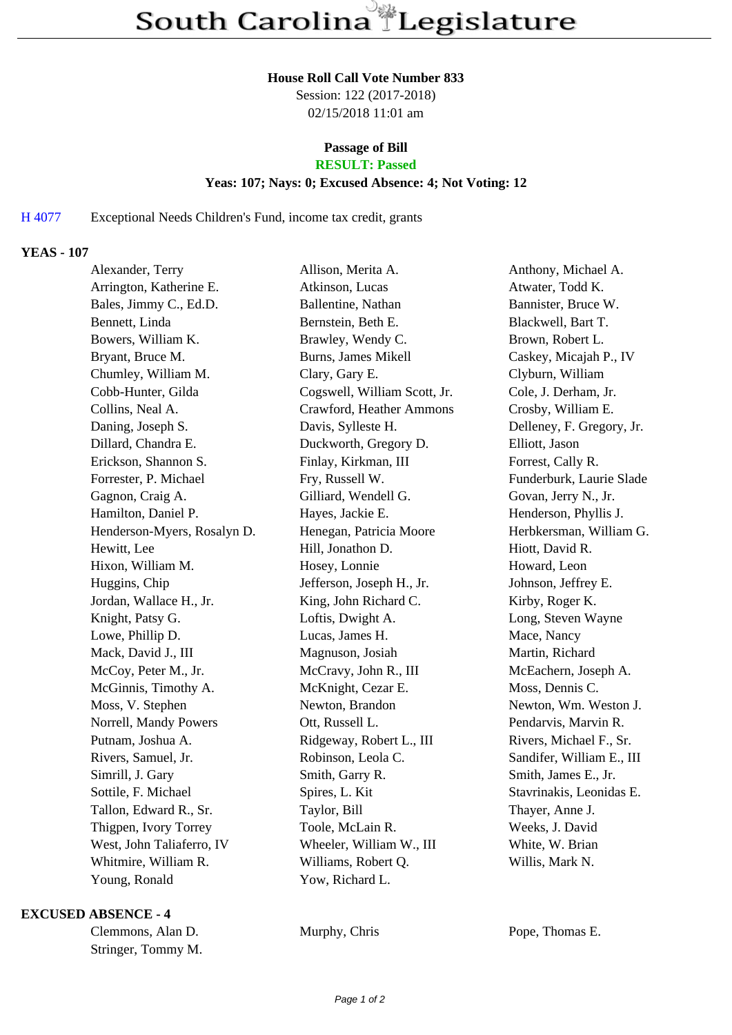#### **House Roll Call Vote Number 833**

Session: 122 (2017-2018) 02/15/2018 11:01 am

## **Passage of Bill**

# **RESULT: Passed**

### **Yeas: 107; Nays: 0; Excused Absence: 4; Not Voting: 12**

### H 4077 Exceptional Needs Children's Fund, income tax credit, grants

### **YEAS - 107**

| Alexander, Terry            | Allison, Merita A.           | Anthony, Michael A.       |
|-----------------------------|------------------------------|---------------------------|
| Arrington, Katherine E.     | Atkinson, Lucas              | Atwater, Todd K.          |
| Bales, Jimmy C., Ed.D.      | Ballentine, Nathan           | Bannister, Bruce W.       |
| Bennett, Linda              | Bernstein, Beth E.           | Blackwell, Bart T.        |
| Bowers, William K.          | Brawley, Wendy C.            | Brown, Robert L.          |
| Bryant, Bruce M.            | <b>Burns, James Mikell</b>   | Caskey, Micajah P., IV    |
| Chumley, William M.         | Clary, Gary E.               | Clyburn, William          |
| Cobb-Hunter, Gilda          | Cogswell, William Scott, Jr. | Cole, J. Derham, Jr.      |
| Collins, Neal A.            | Crawford, Heather Ammons     | Crosby, William E.        |
| Daning, Joseph S.           | Davis, Sylleste H.           | Delleney, F. Gregory, Jr. |
| Dillard, Chandra E.         | Duckworth, Gregory D.        | Elliott, Jason            |
| Erickson, Shannon S.        | Finlay, Kirkman, III         | Forrest, Cally R.         |
| Forrester, P. Michael       | Fry, Russell W.              | Funderburk, Laurie Slade  |
| Gagnon, Craig A.            | Gilliard, Wendell G.         | Govan, Jerry N., Jr.      |
| Hamilton, Daniel P.         | Hayes, Jackie E.             | Henderson, Phyllis J.     |
| Henderson-Myers, Rosalyn D. | Henegan, Patricia Moore      | Herbkersman, William G.   |
| Hewitt, Lee                 | Hill, Jonathon D.            | Hiott, David R.           |
| Hixon, William M.           | Hosey, Lonnie                | Howard, Leon              |
| Huggins, Chip               | Jefferson, Joseph H., Jr.    | Johnson, Jeffrey E.       |
| Jordan, Wallace H., Jr.     | King, John Richard C.        | Kirby, Roger K.           |
| Knight, Patsy G.            | Loftis, Dwight A.            | Long, Steven Wayne        |
| Lowe, Phillip D.            | Lucas, James H.              | Mace, Nancy               |
| Mack, David J., III         | Magnuson, Josiah             | Martin, Richard           |
| McCoy, Peter M., Jr.        | McCravy, John R., III        | McEachern, Joseph A.      |
| McGinnis, Timothy A.        | McKnight, Cezar E.           | Moss, Dennis C.           |
| Moss, V. Stephen            | Newton, Brandon              | Newton, Wm. Weston J.     |
| Norrell, Mandy Powers       | Ott, Russell L.              | Pendarvis, Marvin R.      |
| Putnam, Joshua A.           | Ridgeway, Robert L., III     | Rivers, Michael F., Sr.   |
| Rivers, Samuel, Jr.         | Robinson, Leola C.           | Sandifer, William E., III |
| Simrill, J. Gary            | Smith, Garry R.              | Smith, James E., Jr.      |
| Sottile, F. Michael         | Spires, L. Kit               | Stavrinakis, Leonidas E.  |
| Tallon, Edward R., Sr.      | Taylor, Bill                 | Thayer, Anne J.           |
| Thigpen, Ivory Torrey       | Toole, McLain R.             | Weeks, J. David           |
| West, John Taliaferro, IV   | Wheeler, William W., III     | White, W. Brian           |
| Whitmire, William R.        | Williams, Robert Q.          | Willis, Mark N.           |
| Young, Ronald               | Yow, Richard L.              |                           |

#### **EXCUSED ABSENCE - 4**

| Clemmons, Alan D.  |
|--------------------|
| Stringer, Tommy M. |

Murphy, Chris Pope, Thomas E.